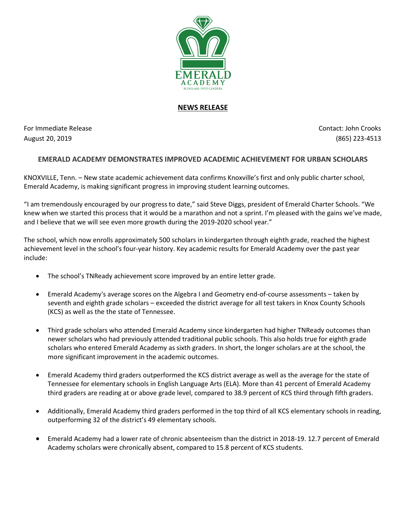

## **NEWS RELEASE**

For Immediate Release Contact: John Crooks August 20, 2019 (865) 223-4513

## **EMERALD ACADEMY DEMONSTRATES IMPROVED ACADEMIC ACHIEVEMENT FOR URBAN SCHOLARS**

KNOXVILLE, Tenn. – New state academic achievement data confirms Knoxville's first and only public charter school, Emerald Academy, is making significant progress in improving student learning outcomes.

"I am tremendously encouraged by our progress to date," said Steve Diggs, president of Emerald Charter Schools. "We knew when we started this process that it would be a marathon and not a sprint. I'm pleased with the gains we've made, and I believe that we will see even more growth during the 2019-2020 school year."

The school, which now enrolls approximately 500 scholars in kindergarten through eighth grade, reached the highest achievement level in the school's four-year history. Key academic results for Emerald Academy over the past year include:

- The school's TNReady achievement score improved by an entire letter grade.
- Emerald Academy's average scores on the Algebra I and Geometry end-of-course assessments taken by seventh and eighth grade scholars – exceeded the district average for all test takers in Knox County Schools (KCS) as well as the the state of Tennessee.
- Third grade scholars who attended Emerald Academy since kindergarten had higher TNReady outcomes than newer scholars who had previously attended traditional public schools. This also holds true for eighth grade scholars who entered Emerald Academy as sixth graders. In short, the longer scholars are at the school, the more significant improvement in the academic outcomes.
- Emerald Academy third graders outperformed the KCS district average as well as the average for the state of Tennessee for elementary schools in English Language Arts (ELA). More than 41 percent of Emerald Academy third graders are reading at or above grade level, compared to 38.9 percent of KCS third through fifth graders.
- Additionally, Emerald Academy third graders performed in the top third of all KCS elementary schools in reading, outperforming 32 of the district's 49 elementary schools.
- Emerald Academy had a lower rate of chronic absenteeism than the district in 2018-19. 12.7 percent of Emerald Academy scholars were chronically absent, compared to 15.8 percent of KCS students.